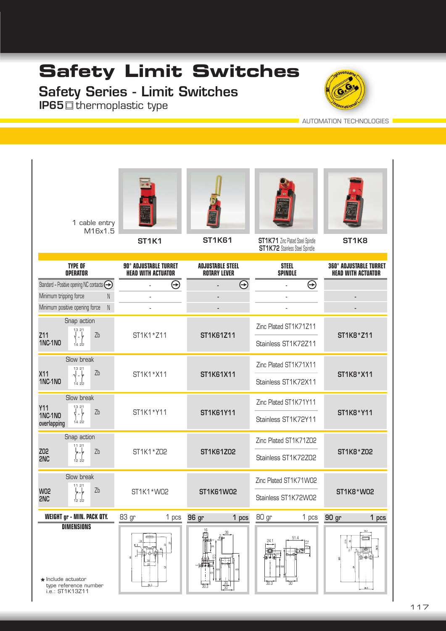## **Safety Limit Switches**

## Safety Series - Limit Switches **IP65**  $\Box$  thermoplastic type



**AUTOMATION TECHNOLOGIES** 

|                                                                      | 1 cable entry<br>M16x1.5                                                                                                                                                                                                                                                                                                                                                                                                                                                                                                                                                                                                       | <b>ST1K1</b>                                              | <b>ST1K61</b>                                  | ST1K71 Zinc Plated Steel Spindle<br><b>ST1K72</b> Stainless Steel Spindle | ST <sub>1</sub> K <sub>8</sub>                             |
|----------------------------------------------------------------------|--------------------------------------------------------------------------------------------------------------------------------------------------------------------------------------------------------------------------------------------------------------------------------------------------------------------------------------------------------------------------------------------------------------------------------------------------------------------------------------------------------------------------------------------------------------------------------------------------------------------------------|-----------------------------------------------------------|------------------------------------------------|---------------------------------------------------------------------------|------------------------------------------------------------|
| <b>TYPE OF</b><br><b>OPERATOR</b>                                    |                                                                                                                                                                                                                                                                                                                                                                                                                                                                                                                                                                                                                                | <b>90° ADJUSTABLE TURRET</b><br><b>HEAD WITH ACTUATOR</b> | <b>ADJUSTABLE STEEL</b><br><b>ROTARY LEVER</b> | <b>STEEL</b><br><b>SPINDLE</b>                                            | <b>360° ADJUSTABLE TURRET</b><br><b>HEAD WITH ACTUATOR</b> |
| Standard - Positive opening NC contacts <a></a>                      |                                                                                                                                                                                                                                                                                                                                                                                                                                                                                                                                                                                                                                | $\Theta$                                                  | $\Theta$                                       | $\Theta$                                                                  |                                                            |
| Minimum tripping force                                               | $\mathbb N$                                                                                                                                                                                                                                                                                                                                                                                                                                                                                                                                                                                                                    |                                                           |                                                |                                                                           |                                                            |
|                                                                      | ${\sf N}$<br>Minimum positive opening force                                                                                                                                                                                                                                                                                                                                                                                                                                                                                                                                                                                    |                                                           |                                                |                                                                           |                                                            |
|                                                                      | Snap action<br>13 21                                                                                                                                                                                                                                                                                                                                                                                                                                                                                                                                                                                                           |                                                           | ST1K61Z11                                      | Zinc Plated ST1K71Z11                                                     | ST1K8 * Z11                                                |
| Z11<br><b>1NC-1NO</b>                                                | Zb<br>$\begin{array}{c} \n\cdot \downarrow \\ \n\cdot \downarrow \\ \n\cdot \downarrow \\ \n\cdot \downarrow \\ \n\cdot \downarrow \\ \n\cdot \downarrow \\ \n\cdot \downarrow \\ \n\cdot \downarrow \\ \n\cdot \downarrow \\ \n\cdot \downarrow \\ \n\cdot \downarrow \\ \n\cdot \downarrow \\ \n\cdot \downarrow \\ \n\cdot \downarrow \\ \n\cdot \downarrow \\ \n\cdot \downarrow \\ \n\cdot \downarrow \\ \n\cdot \downarrow \\ \n\cdot \downarrow \\ \n\cdot \downarrow \\ \n\cdot \downarrow \\ \n\cdot \downarrow \\ \n\cdot \downarrow \\ \n\cdot \downarrow \\ \n\cdot \downarrow \\ \n\cdot \downarrow \\ \n\cdot \$ | ST1K1 * Z11                                               |                                                | Stainless ST1K72Z11                                                       |                                                            |
|                                                                      | Slow break                                                                                                                                                                                                                                                                                                                                                                                                                                                                                                                                                                                                                     |                                                           | ST1K61X11                                      | Zinc Plated ST1K71X11                                                     | ST1K8 * X11                                                |
| X11<br><b>1NC-1NO</b>                                                | $1321$<br>$\sqrt{7} - \frac{1}{7}$<br>Zb<br>$\frac{1}{14}$ 22                                                                                                                                                                                                                                                                                                                                                                                                                                                                                                                                                                  | ST1K1 * X11                                               |                                                | Stainless ST1K72X11                                                       |                                                            |
| Y11                                                                  | Slow break                                                                                                                                                                                                                                                                                                                                                                                                                                                                                                                                                                                                                     |                                                           |                                                | Zinc Plated ST1K71Y11                                                     |                                                            |
| <b>1NC-1NO</b><br>overlapping                                        | $\begin{pmatrix} 13 & 21 \\ 1 & 1 \end{pmatrix}$<br>Zb<br>1422                                                                                                                                                                                                                                                                                                                                                                                                                                                                                                                                                                 | ST1K1*Y11                                                 | ST1K61Y11                                      | Stainless ST1K72Y11                                                       | ST1K8*Y11                                                  |
|                                                                      | Snap action<br>11 21                                                                                                                                                                                                                                                                                                                                                                                                                                                                                                                                                                                                           |                                                           |                                                | Zinc Plated ST1K71ZO2                                                     |                                                            |
| Z02<br>2NC                                                           | $\frac{1}{2}$<br>Zb                                                                                                                                                                                                                                                                                                                                                                                                                                                                                                                                                                                                            | ST1K1 * ZO2                                               | ST1K61Z02                                      | Stainless ST1K72Z02                                                       | ST1K8 * Z02                                                |
|                                                                      | Slow break<br>11 21                                                                                                                                                                                                                                                                                                                                                                                                                                                                                                                                                                                                            |                                                           |                                                | Zinc Plated ST1K71W02                                                     |                                                            |
| <b>W02</b><br>2NC                                                    | Zb<br>ہا۔ ہا<br>1222                                                                                                                                                                                                                                                                                                                                                                                                                                                                                                                                                                                                           | ST1K1 * WO2                                               | ST1K61W02                                      | Stainless ST1K72W02                                                       | <b>ST1K8 * W02</b>                                         |
| <b>WEIGHT gr - MIN. PACK QTY.</b><br><b>DIMENSIONS</b>               |                                                                                                                                                                                                                                                                                                                                                                                                                                                                                                                                                                                                                                | 83 gr<br>1 pcs<br>÷                                       | 96 gr<br>1 pcs                                 | 80 gr<br>1 pcs<br>51.4<br>24.1<br>으<br>∕ا                                 | 90 gr<br>1 pcs<br>œ<br>$\overline{n}$<br>∏®∏<br>ه ه ۱      |
| $\star$ Include actuator<br>type reference number<br>i.e.: ST1K13Z11 |                                                                                                                                                                                                                                                                                                                                                                                                                                                                                                                                                                                                                                | 30.3                                                      | $\frac{30}{30}$                                | 30<br>30.3                                                                | 30.3                                                       |